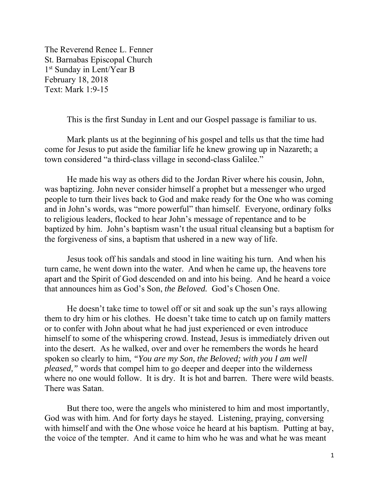The Reverend Renee L. Fenner St. Barnabas Episcopal Church 1<sup>st</sup> Sunday in Lent/Year B February 18, 2018 Text: Mark 1:9-15

This is the first Sunday in Lent and our Gospel passage is familiar to us.

 Mark plants us at the beginning of his gospel and tells us that the time had come for Jesus to put aside the familiar life he knew growing up in Nazareth; a town considered "a third-class village in second-class Galilee."

He made his way as others did to the Jordan River where his cousin, John, was baptizing. John never consider himself a prophet but a messenger who urged people to turn their lives back to God and make ready for the One who was coming and in John's words, was "more powerful" than himself. Everyone, ordinary folks to religious leaders, flocked to hear John's message of repentance and to be baptized by him. John's baptism wasn't the usual ritual cleansing but a baptism for the forgiveness of sins, a baptism that ushered in a new way of life.

 Jesus took off his sandals and stood in line waiting his turn. And when his turn came, he went down into the water. And when he came up, the heavens tore apart and the Spirit of God descended on and into his being. And he heard a voice that announces him as God's Son, *the Beloved.* God's Chosen One.

He doesn't take time to towel off or sit and soak up the sun's rays allowing them to dry him or his clothes. He doesn't take time to catch up on family matters or to confer with John about what he had just experienced or even introduce himself to some of the whispering crowd. Instead, Jesus is immediately driven out into the desert. As he walked, over and over he remembers the words he heard spoken so clearly to him, *"You are my Son, the Beloved; with you I am well pleased,"* words that compel him to go deeper and deeper into the wilderness where no one would follow. It is dry. It is hot and barren. There were wild beasts. There was Satan.

 But there too, were the angels who ministered to him and most importantly, God was with him. And for forty days he stayed. Listening, praying, conversing with himself and with the One whose voice he heard at his baptism. Putting at bay, the voice of the tempter. And it came to him who he was and what he was meant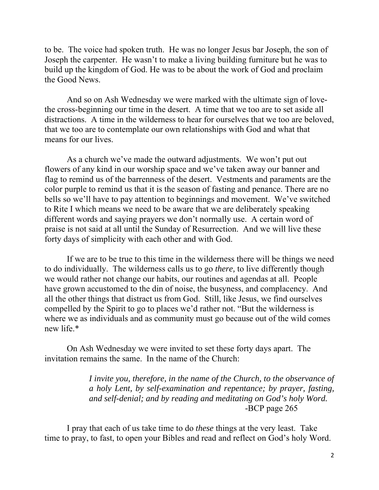to be. The voice had spoken truth. He was no longer Jesus bar Joseph, the son of Joseph the carpenter. He wasn't to make a living building furniture but he was to build up the kingdom of God. He was to be about the work of God and proclaim the Good News.

 And so on Ash Wednesday we were marked with the ultimate sign of lovethe cross-beginning our time in the desert. A time that we too are to set aside all distractions. A time in the wilderness to hear for ourselves that we too are beloved, that we too are to contemplate our own relationships with God and what that means for our lives.

 As a church we've made the outward adjustments. We won't put out flowers of any kind in our worship space and we've taken away our banner and flag to remind us of the barrenness of the desert. Vestments and paraments are the color purple to remind us that it is the season of fasting and penance. There are no bells so we'll have to pay attention to beginnings and movement. We've switched to Rite I which means we need to be aware that we are deliberately speaking different words and saying prayers we don't normally use. A certain word of praise is not said at all until the Sunday of Resurrection. And we will live these forty days of simplicity with each other and with God.

 If we are to be true to this time in the wilderness there will be things we need to do individually. The wilderness calls us to go *there,* to live differently though we would rather not change our habits, our routines and agendas at all. People have grown accustomed to the din of noise, the busyness, and complacency. And all the other things that distract us from God. Still, like Jesus, we find ourselves compelled by the Spirit to go to places we'd rather not. "But the wilderness is where we as individuals and as community must go because out of the wild comes new life.\*

 On Ash Wednesday we were invited to set these forty days apart. The invitation remains the same. In the name of the Church:

> *I invite you, therefore, in the name of the Church, to the observance of a holy Lent, by self-examination and repentance; by prayer, fasting, and self-denial; and by reading and meditating on God's holy Word. -*BCP page 265

I pray that each of us take time to do *these* things at the very least. Take time to pray, to fast, to open your Bibles and read and reflect on God's holy Word.